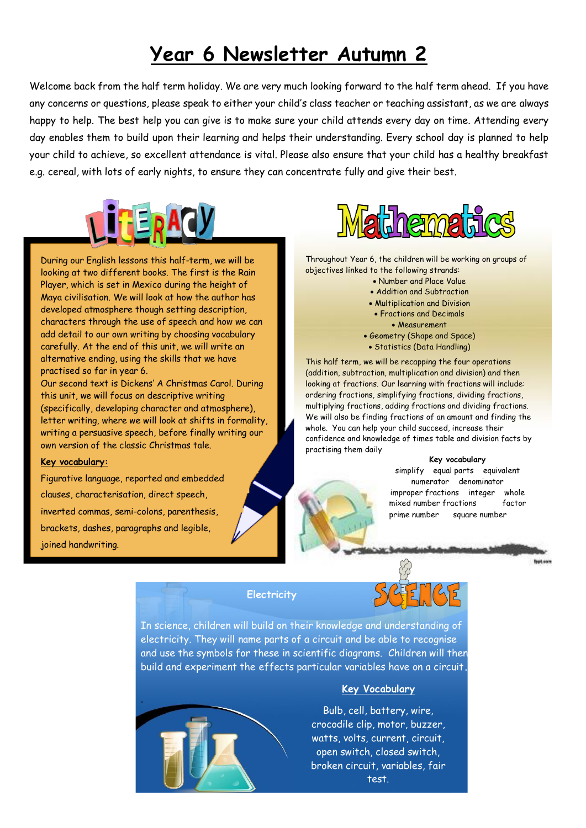## **Year 6 Newsletter Autumn 2**

Welcome back from the half term holiday. We are very much looking forward to the half term ahead. If you have any concerns or questions, please speak to either your child's class teacher or teaching assistant, as we are always happy to help. The best help you can give is to make sure your child attends every day on time. Attending every day enables them to build upon their learning and helps their understanding. Every school day is planned to help your child to achieve, so excellent attendance is vital. Please also ensure that your child has a healthy breakfast e.g. cereal, with lots of early nights, to ensure they can concentrate fully and give their best.



During our English lessons this half-term, we will be looking at two different books. The first is the Rain Player, which is set in Mexico during the height of Maya civilisation. We will look at how the author has developed atmosphere though setting description, characters through the use of speech and how we can add detail to our own writing by choosing vocabulary carefully. At the end of this unit, we will write an alternative ending, using the skills that we have practised so far in year 6.

Our second text is Dickens' A Christmas Carol. During this unit, we will focus on descriptive writing (specifically, developing character and atmosphere), letter writing, where we will look at shifts in formality, writing a persuasive speech, before finally writing our own version of the classic Christmas tale.

## **Key vocabulary:**

Figurative language, reported and embedded clauses, characterisation, direct speech, inverted commas, semi-colons, parenthesis, brackets, dashes, paragraphs and legible, joined handwriting.



Throughout Year 6, the children will be working on groups of objectives linked to the following strands:

- Number and Place Value
- Addition and Subtraction
- Multiplication and Division
	- Fractions and Decimals
		- Measurement
- Geometry (Shape and Space)
- Statistics (Data Handling)

This half term, we will be recapping the four operations (addition, subtraction, multiplication and division) and then looking at fractions. Our learning with fractions will include: ordering fractions, simplifying fractions, dividing fractions, multiplying fractions, adding fractions and dividing fractions. We will also be finding fractions of an amount and finding the whole. You can help your child succeed, increase their confidence and knowledge of times table and division facts by practising them daily.

## **Key vocabulary**

simplify equal parts equivalent numerator denominator improper fractions integer whole mixed number fractions factor prime number square number

**Rept Asks** 

**Electricity**



In science, children will build on their knowledge and understanding of electricity. They will name parts of a circuit and be able to recognise and use the symbols for these in scientific diagrams. Children will then build and experiment the effects particular variables have on a circuit**.**



## **Key Vocabulary**

Bulb, cell, battery, wire, crocodile clip, motor, buzzer, watts, volts, current, circuit, open switch, closed switch, broken circuit, variables, fair test.